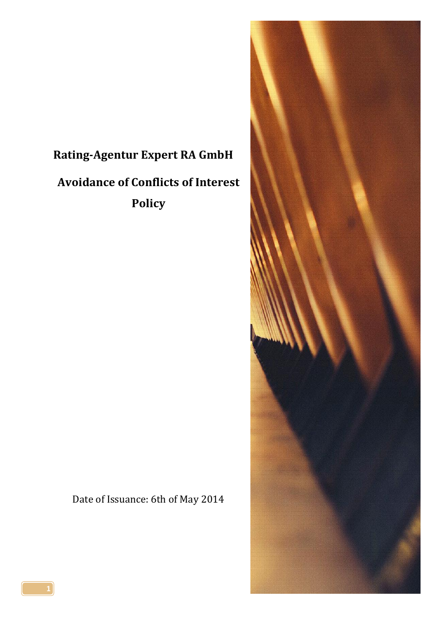# **Rating-Agentur Expert RA GmbH Avoidance of Conflicts of Interest Policy**

Date of Issuance: 6th of May 2014

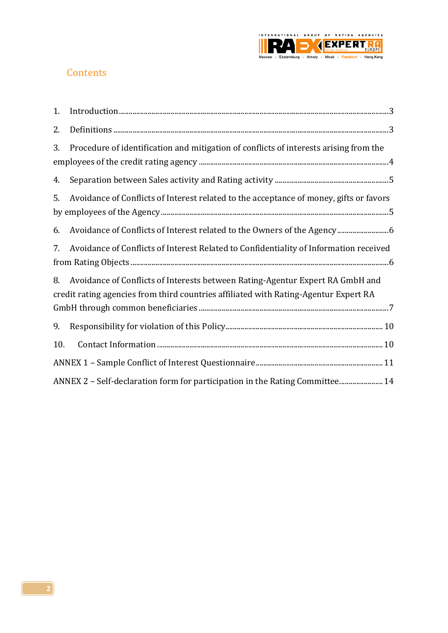

# **Contents**

| 1.  |                                                                                                                                                                       |
|-----|-----------------------------------------------------------------------------------------------------------------------------------------------------------------------|
| 2.  |                                                                                                                                                                       |
| 3.  | Procedure of identification and mitigation of conflicts of interests arising from the                                                                                 |
| 4.  |                                                                                                                                                                       |
| 5.  | Avoidance of Conflicts of Interest related to the acceptance of money, gifts or favors                                                                                |
| 6.  | Avoidance of Conflicts of Interest related to the Owners of the Agency 6                                                                                              |
| 7.  | Avoidance of Conflicts of Interest Related to Confidentiality of Information received                                                                                 |
| 8.  | Avoidance of Conflicts of Interests between Rating-Agentur Expert RA GmbH and<br>credit rating agencies from third countries affiliated with Rating-Agentur Expert RA |
| 9.  |                                                                                                                                                                       |
| 10. |                                                                                                                                                                       |
|     |                                                                                                                                                                       |
|     | ANNEX 2 - Self-declaration form for participation in the Rating Committee 14                                                                                          |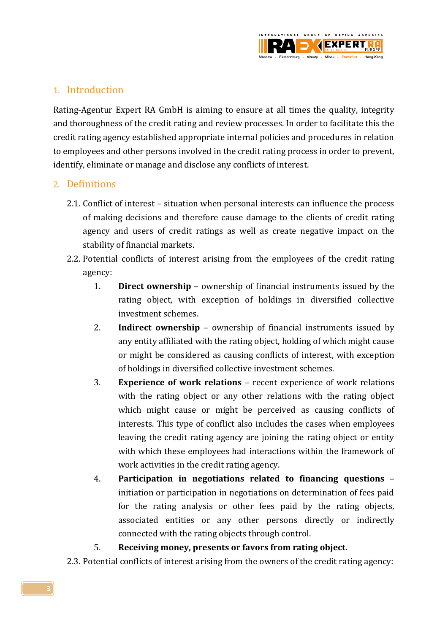

## <span id="page-2-0"></span>1. Introduction

Rating-Agentur Expert RA GmbH is aiming to ensure at all times the quality, integrity and thoroughness of the credit rating and review processes. In order to facilitate this the credit rating agency established appropriate internal policies and procedures in relation to employees and other persons involved in the credit rating process in order to prevent, identify, eliminate or manage and disclose any conflicts of interest.

#### <span id="page-2-1"></span>2. Definitions

- 2.1. Conflict of interest situation when personal interests can influence the process of making decisions and therefore cause damage to the clients of credit rating agency and users of credit ratings as well as create negative impact on the stability of financial markets.
- 2.2. Potential conflicts of interest arising from the employees of the credit rating agency:
	- 1. **Direct ownership** ownership of financial instruments issued by the rating object, with exception of holdings in diversified collective investment schemes.
	- 2. **Indirect ownership** ownership of financial instruments issued by any entity affiliated with the rating object, holding of which might cause or might be considered as causing conflicts of interest, with exception of holdings in diversified collective investment schemes.
	- 3. **Experience of work relations** recent experience of work relations with the rating object or any other relations with the rating object which might cause or might be perceived as causing conflicts of interests. This type of conflict also includes the cases when employees leaving the credit rating agency are joining the rating object or entity with which these employees had interactions within the framework of work activities in the credit rating agency.
	- 4. **Participation in negotiations related to financing questions** initiation or participation in negotiations on determination of fees paid for the rating analysis or other fees paid by the rating objects, associated entities or any other persons directly or indirectly connected with the rating objects through control.

#### 5. **Receiving money, presents or favors from rating object.**

2.3. Potential conflicts of interest arising from the owners of the credit rating agency: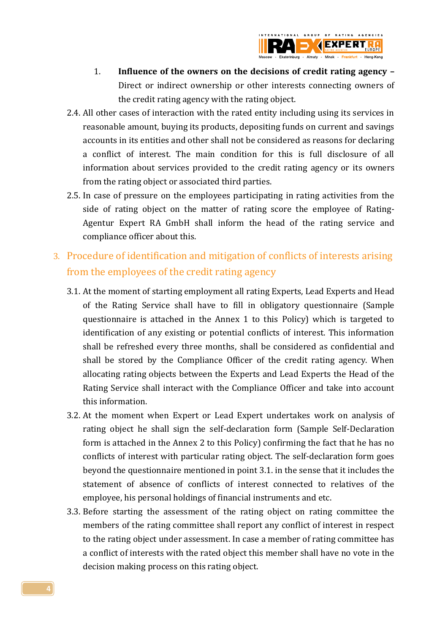

- 1. **Influence of the owners on the decisions of credit rating agency –** Direct or indirect ownership or other interests connecting owners of the credit rating agency with the rating object.
- 2.4. All other cases of interaction with the rated entity including using its services in reasonable amount, buying its products, depositing funds on current and savings accounts in its entities and other shall not be considered as reasons for declaring a conflict of interest. The main condition for this is full disclosure of all information about services provided to the credit rating agency or its owners from the rating object or associated third parties.
- 2.5. In case of pressure on the employees participating in rating activities from the side of rating object on the matter of rating score the employee of Rating-Agentur Expert RA GmbH shall inform the head of the rating service and compliance officer about this.
- <span id="page-3-0"></span>3. Procedure of identification and mitigation of conflicts of interests arising from the employees of the credit rating agency
	- 3.1. At the moment of starting employment all rating Experts, Lead Experts and Head of the Rating Service shall have to fill in obligatory questionnaire (Sample questionnaire is attached in the Annex 1 to this Policy) which is targeted to identification of any existing or potential conflicts of interest. This information shall be refreshed every three months, shall be considered as confidential and shall be stored by the Compliance Officer of the credit rating agency. When allocating rating objects between the Experts and Lead Experts the Head of the Rating Service shall interact with the Compliance Officer and take into account this information.
	- 3.2. At the moment when Expert or Lead Expert undertakes work on analysis of rating object he shall sign the self-declaration form (Sample Self-Declaration form is attached in the Annex 2 to this Policy) confirming the fact that he has no conflicts of interest with particular rating object. The self-declaration form goes beyond the questionnaire mentioned in point 3.1. in the sense that it includes the statement of absence of conflicts of interest connected to relatives of the employee, his personal holdings of financial instruments and etc.
	- 3.3. Before starting the assessment of the rating object on rating committee the members of the rating committee shall report any conflict of interest in respect to the rating object under assessment. In case a member of rating committee has a conflict of interests with the rated object this member shall have no vote in the decision making process on this rating object.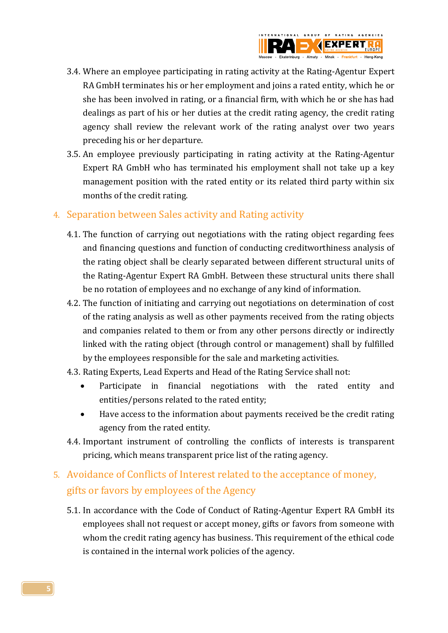

- 3.4. Where an employee participating in rating activity at the Rating-Agentur Expert RA GmbH terminates his or her employment and joins a rated entity, which he or she has been involved in rating, or a financial firm, with which he or she has had dealings as part of his or her duties at the credit rating agency, the credit rating agency shall review the relevant work of the rating analyst over two years preceding his or her departure.
- 3.5. An employee previously participating in rating activity at the Rating-Agentur Expert RA GmbH who has terminated his employment shall not take up a key management position with the rated entity or its related third party within six months of the credit rating.

### <span id="page-4-0"></span>4. Separation between Sales activity and Rating activity

- 4.1. The function of carrying out negotiations with the rating object regarding fees and financing questions and function of conducting creditworthiness analysis of the rating object shall be clearly separated between different structural units of the Rating-Agentur Expert RA GmbH. Between these structural units there shall be no rotation of employees and no exchange of any kind of information.
- 4.2. The function of initiating and carrying out negotiations on determination of cost of the rating analysis as well as other payments received from the rating objects and companies related to them or from any other persons directly or indirectly linked with the rating object (through control or management) shall by fulfilled by the employees responsible for the sale and marketing activities.
- 4.3. Rating Experts, Lead Experts and Head of the Rating Service shall not:
	- Participate in financial negotiations with the rated entity and entities/persons related to the rated entity;
	- Have access to the information about payments received be the credit rating agency from the rated entity.
- 4.4. Important instrument of controlling the conflicts of interests is transparent pricing, which means transparent price list of the rating agency.

# <span id="page-4-1"></span>5. Avoidance of Conflicts of Interest related to the acceptance of money, gifts or favors by employees of the Agency

5.1. In accordance with the Code of Conduct of Rating-Agentur Expert RA GmbH its employees shall not request or accept money, gifts or favors from someone with whom the credit rating agency has business. This requirement of the ethical code is contained in the internal work policies of the agency.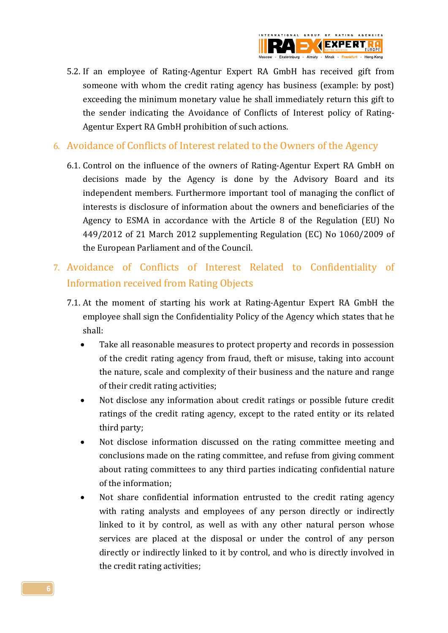

- 5.2. If an employee of Rating-Agentur Expert RA GmbH has received gift from someone with whom the credit rating agency has business (example: by post) exceeding the minimum monetary value he shall immediately return this gift to the sender indicating the Avoidance of Conflicts of Interest policy of Rating-Agentur Expert RA GmbH prohibition of such actions.
- <span id="page-5-0"></span>6. Avoidance of Conflicts of Interest related to the Owners of the Agency
	- 6.1. Control on the influence of the owners of Rating-Agentur Expert RA GmbH on decisions made by the Agency is done by the Advisory Board and its independent members. Furthermore important tool of managing the conflict of interests is disclosure of information about the owners and beneficiaries of the Agency to ESMA in accordance with the Article 8 of the Regulation (EU) No 449/2012 of 21 March 2012 supplementing Regulation (EC) No 1060/2009 of the European Parliament and of the Council.
- <span id="page-5-1"></span>7. Avoidance of Conflicts of Interest Related to Confidentiality of Information received from Rating Objects
	- 7.1. At the moment of starting his work at Rating-Agentur Expert RA GmbH the employee shall sign the Confidentiality Policy of the Agency which states that he shall:
		- Take all reasonable measures to protect property and records in possession of the credit rating agency from fraud, theft or misuse, taking into account the nature, scale and complexity of their business and the nature and range of their credit rating activities;
		- Not disclose any information about credit ratings or possible future credit ratings of the credit rating agency, except to the rated entity or its related third party;
		- Not disclose information discussed on the rating committee meeting and conclusions made on the rating committee, and refuse from giving comment about rating committees to any third parties indicating confidential nature of the information;
		- Not share confidential information entrusted to the credit rating agency with rating analysts and employees of any person directly or indirectly linked to it by control, as well as with any other natural person whose services are placed at the disposal or under the control of any person directly or indirectly linked to it by control, and who is directly involved in the credit rating activities;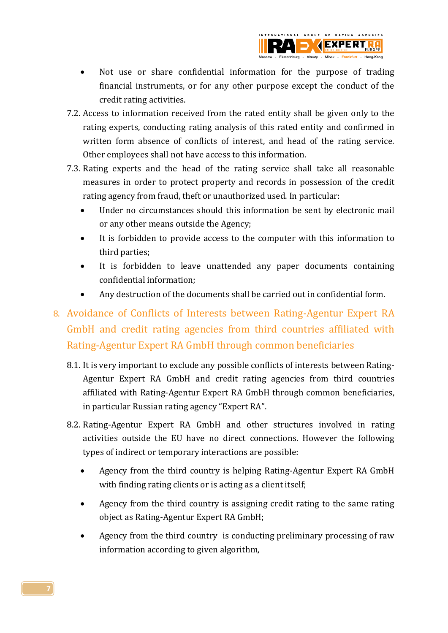

- Not use or share confidential information for the purpose of trading financial instruments, or for any other purpose except the conduct of the credit rating activities.
- 7.2. Access to information received from the rated entity shall be given only to the rating experts, conducting rating analysis of this rated entity and confirmed in written form absence of conflicts of interest, and head of the rating service. Other employees shall not have access to this information.
- 7.3. Rating experts and the head of the rating service shall take all reasonable measures in order to protect property and records in possession of the credit rating agency from fraud, theft or unauthorized used. In particular:
	- Under no circumstances should this information be sent by electronic mail or any other means outside the Agency;
	- It is forbidden to provide access to the computer with this information to third parties;
	- It is forbidden to leave unattended any paper documents containing confidential information;
	- Any destruction of the documents shall be carried out in confidential form.

# <span id="page-6-0"></span>8. Avoidance of Conflicts of Interests between Rating-Agentur Expert RA GmbH and credit rating agencies from third countries affiliated with Rating-Agentur Expert RA GmbH through common beneficiaries

- 8.1. It is very important to exclude any possible conflicts of interests between Rating-Agentur Expert RA GmbH and credit rating agencies from third countries affiliated with Rating-Agentur Expert RA GmbH through common beneficiaries, in particular Russian rating agency "Expert RA".
- 8.2. Rating-Agentur Expert RA GmbH and other structures involved in rating activities outside the EU have no direct connections. However the following types of indirect or temporary interactions are possible:
	- Agency from the third country is helping Rating-Agentur Expert RA GmbH with finding rating clients or is acting as a client itself;
	- Agency from the third country is assigning credit rating to the same rating object as Rating-Agentur Expert RA GmbH;
	- Agency from the third country is conducting preliminary processing of raw information according to given algorithm,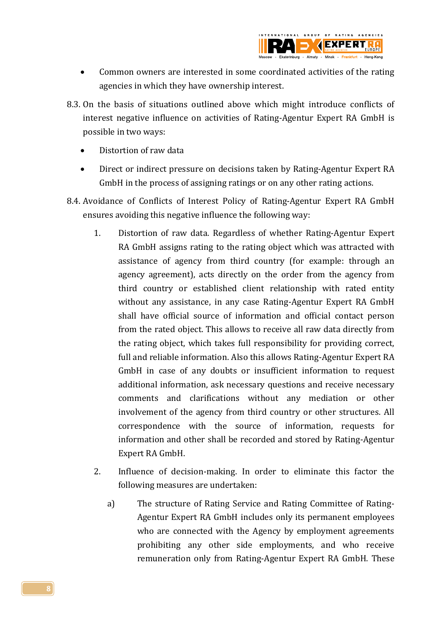

- Common owners are interested in some coordinated activities of the rating agencies in which they have ownership interest.
- 8.3. On the basis of situations outlined above which might introduce conflicts of interest negative influence on activities of Rating-Agentur Expert RA GmbH is possible in two ways:
	- Distortion of raw data
	- Direct or indirect pressure on decisions taken by Rating-Agentur Expert RA GmbH in the process of assigning ratings or on any other rating actions.
- 8.4. Avoidance of Conflicts of Interest Policy of Rating-Agentur Expert RA GmbH ensures avoiding this negative influence the following way:
	- 1. Distortion of raw data. Regardless of whether Rating-Agentur Expert RA GmbH assigns rating to the rating object which was attracted with assistance of agency from third country (for example: through an agency agreement), acts directly on the order from the agency from third country or established client relationship with rated entity without any assistance, in any case Rating-Agentur Expert RA GmbH shall have official source of information and official contact person from the rated object. This allows to receive all raw data directly from the rating object, which takes full responsibility for providing correct, full and reliable information. Also this allows Rating-Agentur Expert RA GmbH in case of any doubts or insufficient information to request additional information, ask necessary questions and receive necessary comments and clarifications without any mediation or other involvement of the agency from third country or other structures. All correspondence with the source of information, requests for information and other shall be recorded and stored by Rating-Agentur Expert RA GmbH.
	- 2. Influence of decision-making. In order to eliminate this factor the following measures are undertaken:
		- a) The structure of Rating Service and Rating Committee of Rating-Agentur Expert RA GmbH includes only its permanent employees who are connected with the Agency by employment agreements prohibiting any other side employments, and who receive remuneration only from Rating-Agentur Expert RA GmbH. These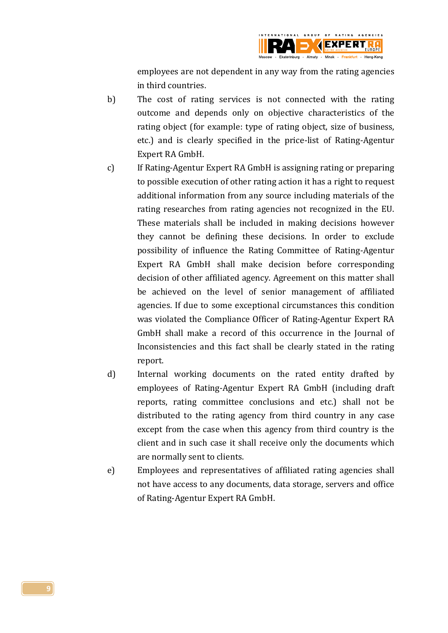

employees are not dependent in any way from the rating agencies in third countries.

- b) The cost of rating services is not connected with the rating outcome and depends only on objective characteristics of the rating object (for example: type of rating object, size of business, etc.) and is clearly specified in the price-list of Rating-Agentur Expert RA GmbH.
- c) If Rating-Agentur Expert RA GmbH is assigning rating or preparing to possible execution of other rating action it has a right to request additional information from any source including materials of the rating researches from rating agencies not recognized in the EU. These materials shall be included in making decisions however they cannot be defining these decisions. In order to exclude possibility of influence the Rating Committee of Rating-Agentur Expert RA GmbH shall make decision before corresponding decision of other affiliated agency. Agreement on this matter shall be achieved on the level of senior management of affiliated agencies. If due to some exceptional circumstances this condition was violated the Compliance Officer of Rating-Agentur Expert RA GmbH shall make a record of this occurrence in the Journal of Inconsistencies and this fact shall be clearly stated in the rating report.
- d) Internal working documents on the rated entity drafted by employees of Rating-Agentur Expert RA GmbH (including draft reports, rating committee conclusions and etc.) shall not be distributed to the rating agency from third country in any case except from the case when this agency from third country is the client and in such case it shall receive only the documents which are normally sent to clients.
- e) Employees and representatives of affiliated rating agencies shall not have access to any documents, data storage, servers and office of Rating-Agentur Expert RA GmbH.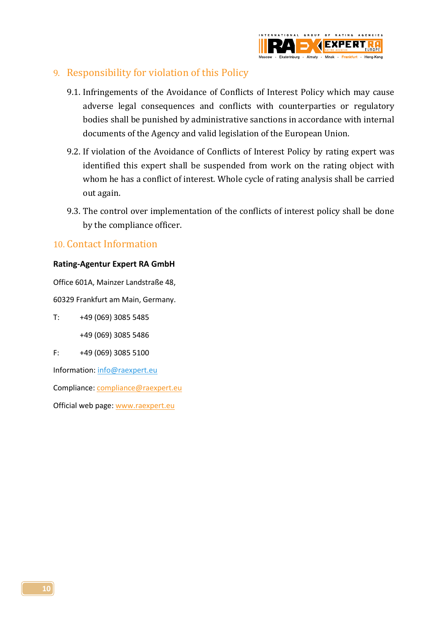

#### <span id="page-9-0"></span>9. Responsibility for violation of this Policy

- 9.1. Infringements of the Avoidance of Conflicts of Interest Policy which may cause adverse legal consequences and conflicts with counterparties or regulatory bodies shall be punished by administrative sanctions in accordance with internal documents of the Agency and valid legislation of the European Union.
- 9.2. If violation of the Avoidance of Conflicts of Interest Policy by rating expert was identified this expert shall be suspended from work on the rating object with whom he has a conflict of interest. Whole cycle of rating analysis shall be carried out again.
- 9.3. The control over implementation of the conflicts of interest policy shall be done by the compliance officer.

#### <span id="page-9-1"></span>10. Contact Information

#### **Rating-Agentur Expert RA GmbH**

Office 601A, Mainzer Landstraße 48,

60329 Frankfurt am Main, Germany.

T: +49 (069) 3085 5485 +49 (069) 3085 5486

F: +49 (069) 3085 5100

Information: [info@raexpert.eu](mailto:info@raexpert.eu)

Compliance[: compliance@raexpert.eu](mailto:compliance@raexpert.eu)

Official web page[: www.raexpert.eu](http://www.raexpert.eu/)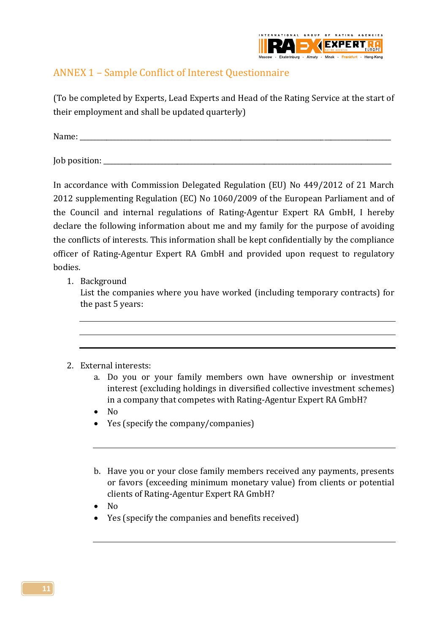

# <span id="page-10-0"></span>ANNEX 1 – Sample Conflict of Interest Questionnaire

(To be completed by Experts, Lead Experts and Head of the Rating Service at the start of their employment and shall be updated quarterly)

Name: \_\_\_\_\_\_\_\_\_\_\_\_\_\_\_\_\_\_\_\_\_\_\_\_\_\_\_\_\_\_\_\_\_\_\_\_\_\_\_\_\_\_\_\_\_\_\_\_\_\_\_\_\_\_\_\_\_\_\_\_\_\_\_\_\_\_\_\_\_\_\_\_\_\_\_\_\_\_\_\_\_\_\_\_\_\_\_\_\_\_\_\_\_

Job position: \_\_\_\_\_\_\_\_\_\_\_\_\_\_\_\_\_\_\_\_\_\_\_\_\_\_\_\_\_\_\_\_\_\_\_\_\_\_\_\_\_\_\_\_\_\_\_\_\_\_\_\_\_\_\_\_\_\_\_\_\_\_\_\_\_\_\_\_\_\_\_\_\_\_\_\_\_\_\_\_\_\_\_\_\_\_

In accordance with Commission Delegated Regulation (EU) No 449/2012 of 21 March 2012 supplementing Regulation (EC) No 1060/2009 of the European Parliament and of the Council and internal regulations of Rating-Agentur Expert RA GmbH, I hereby declare the following information about me and my family for the purpose of avoiding the conflicts of interests. This information shall be kept confidentially by the compliance officer of Rating-Agentur Expert RA GmbH and provided upon request to regulatory bodies.

1. Background

List the companies where you have worked (including temporary contracts) for the past 5 years:



- a. Do you or your family members own have ownership or investment interest (excluding holdings in diversified collective investment schemes) in a company that competes with Rating-Agentur Expert RA GmbH?
- $\bullet$  No
- Yes (specify the company/companies)
- b. Have you or your close family members received any payments, presents or favors (exceeding minimum monetary value) from clients or potential clients of Rating-Agentur Expert RA GmbH?
- No
- Yes (specify the companies and benefits received)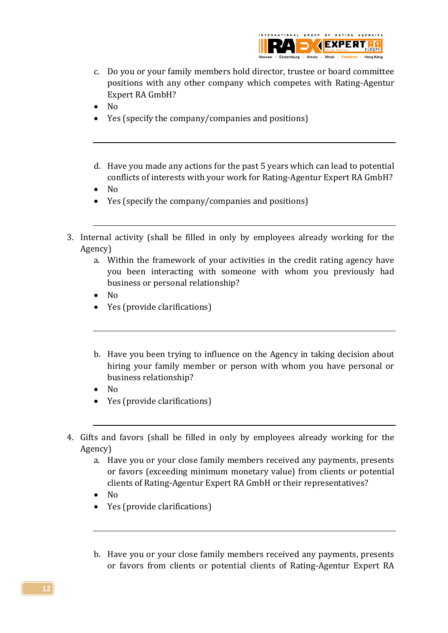

- c. Do you or your family members hold director, trustee or board committee positions with any other company which competes with Rating-Agentur Expert RA GmbH?
- $\bullet$  No
- Yes (specify the company/companies and positions)
- d. Have you made any actions for the past 5 years which can lead to potential conflicts of interests with your work for Rating-Agentur Expert RA GmbH?
- $\bullet$  No
- Yes (specify the company/companies and positions)
- 3. Internal activity (shall be filled in only by employees already working for the Agency)
	- a. Within the framework of your activities in the credit rating agency have you been interacting with someone with whom you previously had business or personal relationship?
	- $\bullet$  No
	- Yes (provide clarifications)
	- b. Have you been trying to influence on the Agency in taking decision about hiring your family member or person with whom you have personal or business relationship?
	- $\bullet$  No
	- Yes (provide clarifications)
- 4. Gifts and favors (shall be filled in only by employees already working for the Agency)
	- a. Have you or your close family members received any payments, presents or favors (exceeding minimum monetary value) from clients or potential clients of Rating-Agentur Expert RA GmbH or their representatives?
	- $\bullet$  No
	- Yes (provide clarifications)
	- b. Have you or your close family members received any payments, presents or favors from clients or potential clients of Rating-Agentur Expert RA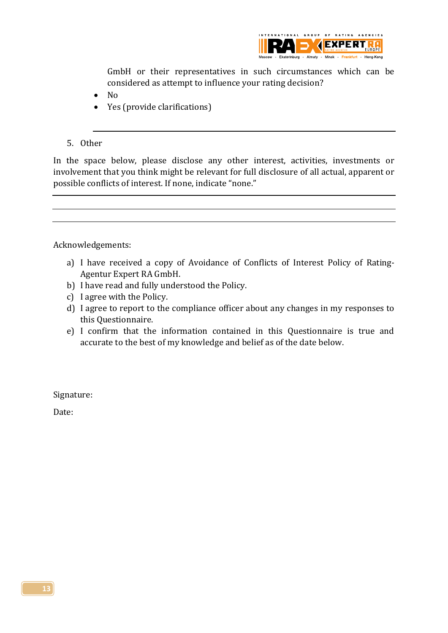

GmbH or their representatives in such circumstances which can be considered as attempt to influence your rating decision?

- $\bullet$  No
- Yes (provide clarifications)

#### 5. Other

In the space below, please disclose any other interest, activities, investments or involvement that you think might be relevant for full disclosure of all actual, apparent or possible conflicts of interest. If none, indicate "none."

#### Acknowledgements:

- a) I have received a copy of Avoidance of Conflicts of Interest Policy of Rating-Agentur Expert RA GmbH.
- b) I have read and fully understood the Policy.
- c) I agree with the Policy.
- d) I agree to report to the compliance officer about any changes in my responses to this Questionnaire.
- e) I confirm that the information contained in this Questionnaire is true and accurate to the best of my knowledge and belief as of the date below.

Signature:

<span id="page-12-0"></span>Date: